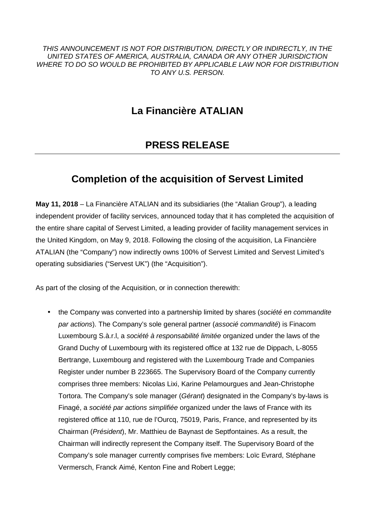THIS ANNOUNCEMENT IS NOT FOR DISTRIBUTION, DIRECTLY OR INDIRECTLY, IN THE UNITED STATES OF AMERICA, AUSTRALIA, CANADA OR ANY OTHER JURISDICTION WHERE TO DO SO WOULD BE PROHIBITED BY APPLICABLE LAW NOR FOR DISTRIBUTION TO ANY U.S. PERSON.

## **La Financière ATALIAN**

## **PRESS RELEASE**

# **Completion of the acquisition of Servest Limited**

**May 11, 2018** – La Financière ATALIAN and its subsidiaries (the "Atalian Group"), a leading independent provider of facility services, announced today that it has completed the acquisition of the entire share capital of Servest Limited, a leading provider of facility management services in the United Kingdom, on May 9, 2018. Following the closing of the acquisition, La Financière ATALIAN (the "Company") now indirectly owns 100% of Servest Limited and Servest Limited's operating subsidiaries ("Servest UK") (the "Acquisition").

As part of the closing of the Acquisition, or in connection therewith:

the Company was converted into a partnership limited by shares (société en commandite par actions). The Company's sole general partner (associé commandité) is Finacom Luxembourg S.à.r.l, a société à responsabilité limitée organized under the laws of the Grand Duchy of Luxembourg with its registered office at 132 rue de Dippach, L-8055 Bertrange, Luxembourg and registered with the Luxembourg Trade and Companies Register under number B 223665. The Supervisory Board of the Company currently comprises three members: Nicolas Lixi, Karine Pelamourgues and Jean-Christophe Tortora. The Company's sole manager (Gérant) designated in the Company's by-laws is Finagé, a société par actions simplifiée organized under the laws of France with its registered office at 110, rue de l'Ourcq, 75019, Paris, France, and represented by its Chairman (Président), Mr. Matthieu de Baynast de Septfontaines. As a result, the Chairman will indirectly represent the Company itself. The Supervisory Board of the Company's sole manager currently comprises five members: Loïc Evrard, Stéphane Vermersch, Franck Aimé, Kenton Fine and Robert Legge;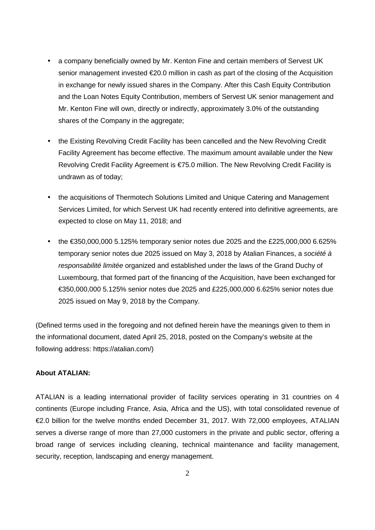- a company beneficially owned by Mr. Kenton Fine and certain members of Servest UK senior management invested €20.0 million in cash as part of the closing of the Acquisition in exchange for newly issued shares in the Company. After this Cash Equity Contribution and the Loan Notes Equity Contribution, members of Servest UK senior management and Mr. Kenton Fine will own, directly or indirectly, approximately 3.0% of the outstanding shares of the Company in the aggregate;
- the Existing Revolving Credit Facility has been cancelled and the New Revolving Credit Facility Agreement has become effective. The maximum amount available under the New Revolving Credit Facility Agreement is €75.0 million. The New Revolving Credit Facility is undrawn as of today;
- the acquisitions of Thermotech Solutions Limited and Unique Catering and Management Services Limited, for which Servest UK had recently entered into definitive agreements, are expected to close on May 11, 2018; and
- the  $\epsilon$ 350,000,000 5.125% temporary senior notes due 2025 and the £225,000,000 6.625% temporary senior notes due 2025 issued on May 3, 2018 by Atalian Finances, a société à responsabilité limitée organized and established under the laws of the Grand Duchy of Luxembourg, that formed part of the financing of the Acquisition, have been exchanged for €350,000,000 5.125% senior notes due 2025 and £225,000,000 6.625% senior notes due 2025 issued on May 9, 2018 by the Company.

(Defined terms used in the foregoing and not defined herein have the meanings given to them in the informational document, dated April 25, 2018, posted on the Company's website at the following address: https://atalian.com/)

### **About ATALIAN:**

ATALIAN is a leading international provider of facility services operating in 31 countries on 4 continents (Europe including France, Asia, Africa and the US), with total consolidated revenue of €2.0 billion for the twelve months ended December 31, 2017. With 72,000 employees, ATALIAN serves a diverse range of more than 27,000 customers in the private and public sector, offering a broad range of services including cleaning, technical maintenance and facility management, security, reception, landscaping and energy management.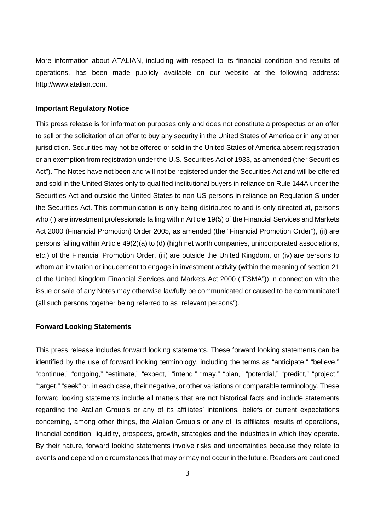More information about ATALIAN, including with respect to its financial condition and results of operations, has been made publicly available on our website at the following address: http://www.atalian.com.

#### **Important Regulatory Notice**

This press release is for information purposes only and does not constitute a prospectus or an offer to sell or the solicitation of an offer to buy any security in the United States of America or in any other jurisdiction. Securities may not be offered or sold in the United States of America absent registration or an exemption from registration under the U.S. Securities Act of 1933, as amended (the "Securities Act"). The Notes have not been and will not be registered under the Securities Act and will be offered and sold in the United States only to qualified institutional buyers in reliance on Rule 144A under the Securities Act and outside the United States to non-US persons in reliance on Regulation S under the Securities Act. This communication is only being distributed to and is only directed at, persons who (i) are investment professionals falling within Article 19(5) of the Financial Services and Markets Act 2000 (Financial Promotion) Order 2005, as amended (the "Financial Promotion Order"), (ii) are persons falling within Article 49(2)(a) to (d) (high net worth companies, unincorporated associations, etc.) of the Financial Promotion Order, (iii) are outside the United Kingdom, or (iv) are persons to whom an invitation or inducement to engage in investment activity (within the meaning of section 21 of the United Kingdom Financial Services and Markets Act 2000 ("FSMA")) in connection with the issue or sale of any Notes may otherwise lawfully be communicated or caused to be communicated (all such persons together being referred to as "relevant persons").

### **Forward Looking Statements**

This press release includes forward looking statements. These forward looking statements can be identified by the use of forward looking terminology, including the terms as "anticipate," "believe," "continue," "ongoing," "estimate," "expect," "intend," "may," "plan," "potential," "predict," "project," "target," "seek" or, in each case, their negative, or other variations or comparable terminology. These forward looking statements include all matters that are not historical facts and include statements regarding the Atalian Group's or any of its affiliates' intentions, beliefs or current expectations concerning, among other things, the Atalian Group's or any of its affiliates' results of operations, financial condition, liquidity, prospects, growth, strategies and the industries in which they operate. By their nature, forward looking statements involve risks and uncertainties because they relate to events and depend on circumstances that may or may not occur in the future. Readers are cautioned